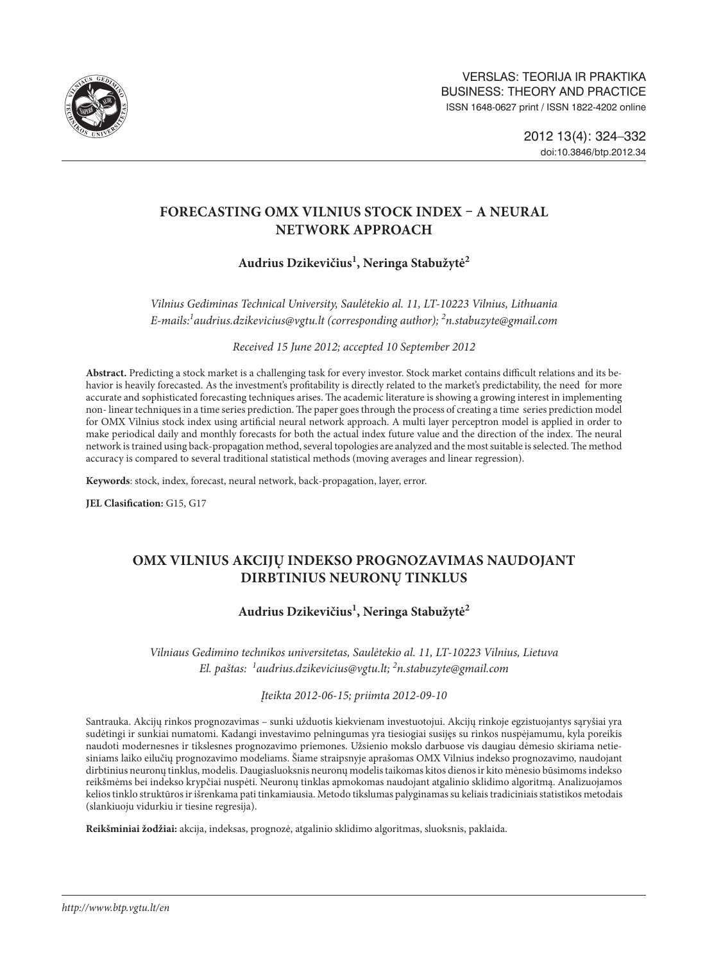

# **FORECASTING OMX VILNIUS STOCK INDEX – A NEURAL NETWORK APPROACH**

# **Audrius Dzikevičius1 , Neringa Stabužytė2**

*Vilnius Gediminas Technical University, Saulėtekio al. 11, LT-10223 Vilnius, Lithuania E-mails:1 audrius.dzikevicius@vgtu.lt (corresponding author); 2 n.stabuzyte@gmail.com*

*Received 15 June 2012; accepted 10 September 2012*

**Abstract.** Predicting a stock market is a challenging task for every investor. Stock market contains difficult relations and its behavior is heavily forecasted. As the investment's profitability is directly related to the market's predictability, the need for more accurate and sophisticated forecasting techniques arises. The academic literature is showing a growing interest in implementing non- linear techniques in a time series prediction. The paper goes through the process of creating a time series prediction model for OMX Vilnius stock index using artificial neural network approach. A multi layer perceptron model is applied in order to make periodical daily and monthly forecasts for both the actual index future value and the direction of the index. The neural network is trained using back-propagation method, several topologies are analyzed and the most suitable is selected. The method accuracy is compared to several traditional statistical methods (moving averages and linear regression).

**Keywords**: stock, index, forecast, neural network, back-propagation, layer, error.

**JEL Clasification:** G15, G17

# **OMX VILNIUS AKCIJŲ INDEKSO PROGNOZAVIMAS NAUDOJANT DIRBTINIUS NEURONŲ TINKLUS**

## **Audrius Dzikevičius1 , Neringa Stabužytė2**

*Vilniaus Gedimino technikos universitetas, Saulėtekio al. 11, LT-10223 Vilnius, Lietuva El. paštas: <sup>1</sup> audrius.dzikevicius@vgtu.lt; 2 n.stabuzyte@gmail.com*

*Įteikta 2012-06-15; priimta 2012-09-10*

Santrauka. Akcijų rinkos prognozavimas – sunki užduotis kiekvienam investuotojui. Akcijų rinkoje egzistuojantys sąryšiai yra sudėtingi ir sunkiai numatomi. Kadangi investavimo pelningumas yra tiesiogiai susijęs su rinkos nuspėjamumu, kyla poreikis naudoti modernesnes ir tikslesnes prognozavimo priemones. Užsienio mokslo darbuose vis daugiau dėmesio skiriama netiesiniams laiko eilučių prognozavimo modeliams. Šiame straipsnyje aprašomas OMX Vilnius indekso prognozavimo, naudojant dirbtinius neuronų tinklus, modelis. Daugiasluoksnis neuronų modelis taikomas kitos dienos ir kito mėnesio būsimoms indekso reikšmėms bei indekso krypčiai nuspėti. Neuronų tinklas apmokomas naudojant atgalinio sklidimo algoritmą. Analizuojamos kelios tinklo struktūros ir išrenkama pati tinkamiausia. Metodo tikslumas palyginamas su keliais tradiciniais statistikos metodais (slankiuoju vidurkiu ir tiesine regresija).

**Reikšminiai žodžiai:** akcija, indeksas, prognozė, atgalinio sklidimo algoritmas, sluoksnis, paklaida.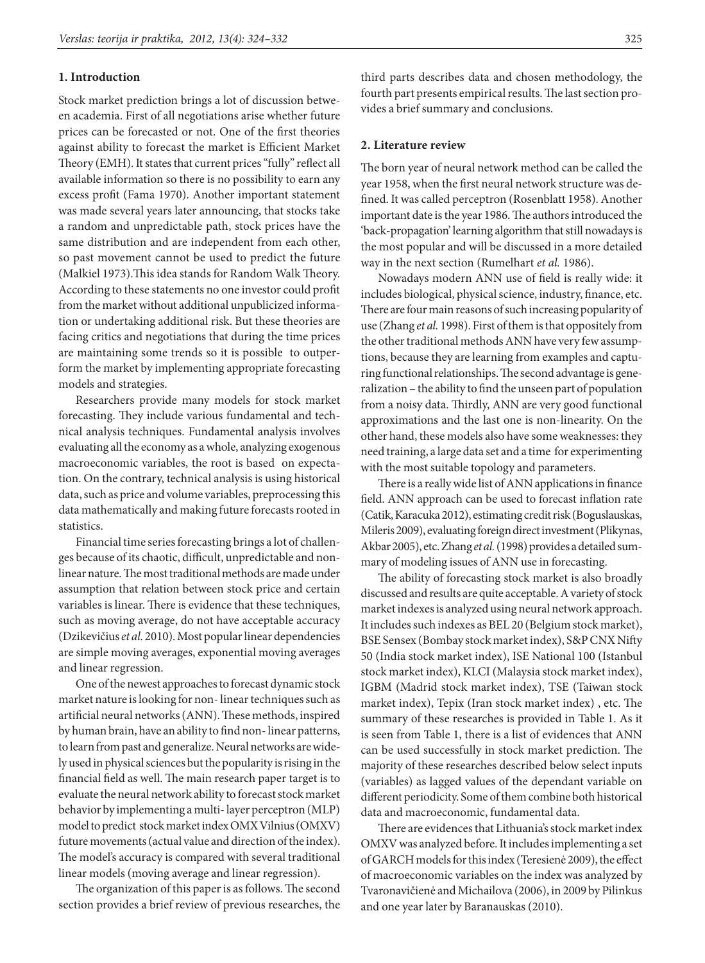## **1. Introduction**

Stock market prediction brings a lot of discussion between academia. First of all negotiations arise whether future prices can be forecasted or not. One of the first theories against ability to forecast the market is Efficient Market Theory (EMH). It states that current prices "fully" reflect all available information so there is no possibility to earn any excess profit (Fama 1970). Another important statement was made several years later announcing, that stocks take a random and unpredictable path, stock prices have the same distribution and are independent from each other, so past movement cannot be used to predict the future (Malkiel 1973).This idea stands for Random Walk Theory. According to these statements no one investor could profit from the market without additional unpublicized information or undertaking additional risk. But these theories are facing critics and negotiations that during the time prices are maintaining some trends so it is possible to outperform the market by implementing appropriate forecasting models and strategies.

Researchers provide many models for stock market forecasting. They include various fundamental and technical analysis techniques. Fundamental analysis involves evaluating all the economy as a whole, analyzing exogenous macroeconomic variables, the root is based on expectation. On the contrary, technical analysis is using historical data, such as price and volume variables, preprocessing this data mathematically and making future forecasts rooted in statistics.

Financial time series forecasting brings a lot of challenges because of its chaotic, difficult, unpredictable and nonlinear nature. The most traditional methods are made under assumption that relation between stock price and certain variables is linear. There is evidence that these techniques, such as moving average, do not have acceptable accuracy (Dzikevičius *et al.* 2010). Most popular linear dependencies are simple moving averages, exponential moving averages and linear regression.

One of the newest approaches to forecast dynamic stock market nature is looking for non- linear techniques such as artificial neural networks (ANN). These methods, inspired by human brain, have an ability to find non- linear patterns, to learn from past and generalize. Neural networks are widely used in physical sciences but the popularity is rising in the financial field as well. The main research paper target is to evaluate the neural network ability to forecast stock market behavior by implementing a multi- layer perceptron (MLP) model to predict stock market index OMX Vilnius (OMXV) future movements (actual value and direction of the index). The model's accuracy is compared with several traditional linear models (moving average and linear regression).

The organization of this paper is as follows. The second section provides a brief review of previous researches, the third parts describes data and chosen methodology, the fourth part presents empirical results. The last section provides a brief summary and conclusions.

### **2. Literature review**

The born year of neural network method can be called the year 1958, when the first neural network structure was defined. It was called perceptron (Rosenblatt 1958). Another important date is the year 1986. The authors introduced the 'back-propagation' learning algorithm that still nowadays is the most popular and will be discussed in a more detailed way in the next section (Rumelhart *et al.* 1986).

Nowadays modern ANN use of field is really wide: it includes biological, physical science, industry, finance, etc. There are four main reasons of such increasing popularity of use (Zhang *et al.* 1998). First of them is that oppositely from the other traditional methods ANN have very few assumptions, because they are learning from examples and capturing functional relationships. The second advantage is generalization – the ability to find the unseen part of population from a noisy data. Thirdly, ANN are very good functional approximations and the last one is non-linearity. On the other hand, these models also have some weaknesses: they need training, a large data set and a time for experimenting with the most suitable topology and parameters.

There is a really wide list of ANN applications in finance field. ANN approach can be used to forecast inflation rate (Catik, Karacuka 2012), estimating credit risk (Boguslauskas, Mileris 2009), evaluating foreign direct investment (Plikynas, Akbar 2005), etc. Zhang *et al.* (1998) provides a detailed summary of modeling issues of ANN use in forecasting.

The ability of forecasting stock market is also broadly discussed and results are quite acceptable. A variety of stock market indexes is analyzed using neural network approach. It includes such indexes as BEL 20 (Belgium stock market), BSE Sensex (Bombay stock market index), S&P CNX Nifty 50 (India stock market index), ISE National 100 (Istanbul stock market index), KLCI (Malaysia stock market index), IGBM (Madrid stock market index), TSE (Taiwan stock market index), Tepix (Iran stock market index) , etc. The summary of these researches is provided in Table 1. As it is seen from Table 1, there is a list of evidences that ANN can be used successfully in stock market prediction. The majority of these researches described below select inputs (variables) as lagged values of the dependant variable on different periodicity. Some of them combine both historical data and macroeconomic, fundamental data.

There are evidences that Lithuania's stock market index OMXV was analyzed before. It includes implementing a set of GARCH models for this index (Teresienė 2009), the effect of macroeconomic variables on the index was analyzed by Tvaronavičienė and Michailova (2006), in 2009 by Pilinkus and one year later by Baranauskas (2010).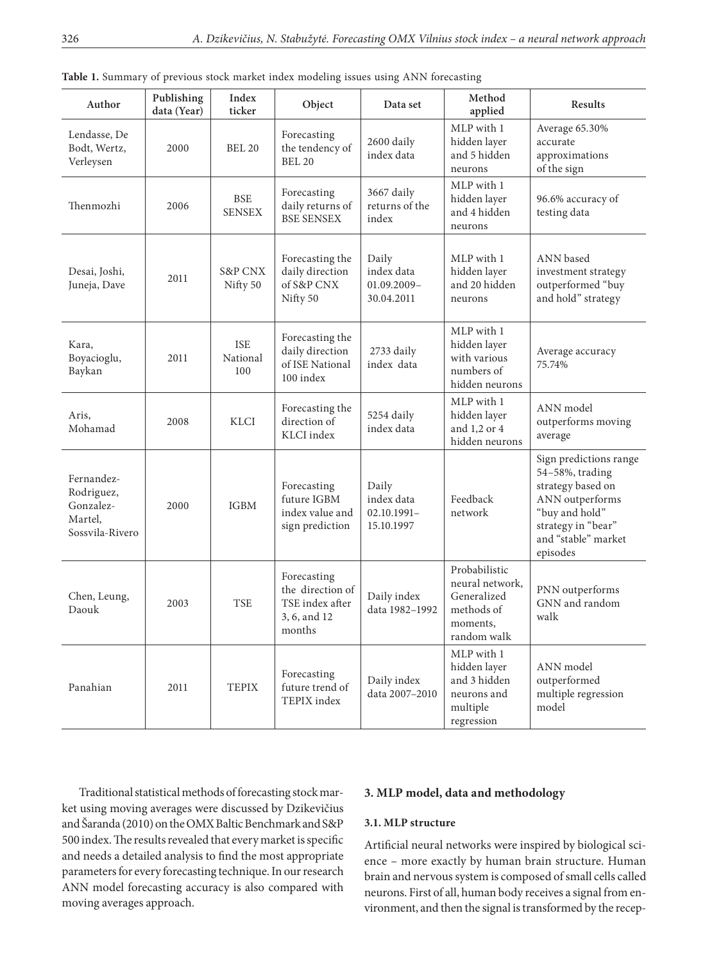| Author                                                              | Publishing<br>data (Year) | Index<br>ticker                | Object                                                                       | Data set                                            | Method<br>applied                                                                        | Results                                                                                                                                                      |
|---------------------------------------------------------------------|---------------------------|--------------------------------|------------------------------------------------------------------------------|-----------------------------------------------------|------------------------------------------------------------------------------------------|--------------------------------------------------------------------------------------------------------------------------------------------------------------|
| Lendasse, De<br>Bodt, Wertz,<br>Verleysen                           | 2000                      | <b>BEL 20</b>                  | Forecasting<br>the tendency of<br><b>BEL 20</b>                              | 2600 daily<br>index data                            | MLP with 1<br>hidden layer<br>and 5 hidden<br>neurons                                    | Average 65.30%<br>accurate<br>approximations<br>of the sign                                                                                                  |
| Thenmozhi                                                           | 2006                      | <b>BSE</b><br><b>SENSEX</b>    | Forecasting<br>daily returns of<br><b>BSE SENSEX</b>                         | 3667 daily<br>returns of the<br>index               | MLP with 1<br>hidden layer<br>and 4 hidden<br>neurons                                    | 96.6% accuracy of<br>testing data                                                                                                                            |
| Desai, Joshi,<br>Juneja, Dave                                       | 2011                      | <b>S&amp;P CNX</b><br>Nifty 50 | Forecasting the<br>daily direction<br>of S&P CNX<br>Nifty 50                 | Daily<br>index data<br>$01.09.2009 -$<br>30.04.2011 | MLP with 1<br>hidden layer<br>and 20 hidden<br>neurons                                   | ANN based<br>investment strategy<br>outperformed "buy<br>and hold" strategy                                                                                  |
| Kara,<br>Boyacioglu,<br>Baykan                                      | 2011                      | <b>ISE</b><br>National<br>100  | Forecasting the<br>daily direction<br>of ISE National<br>100 index           | 2733 daily<br>index data                            | MLP with 1<br>hidden layer<br>with various<br>numbers of<br>hidden neurons               | Average accuracy<br>75.74%                                                                                                                                   |
| Aris,<br>Mohamad                                                    | 2008                      | KLCI                           | Forecasting the<br>direction of<br>KLCI index                                | 5254 daily<br>index data                            | MLP with 1<br>hidden layer<br>and 1,2 or 4<br>hidden neurons                             | ANN model<br>outperforms moving<br>average                                                                                                                   |
| Fernandez-<br>Rodriguez,<br>Gonzalez-<br>Martel,<br>Sossvila-Rivero | 2000                      | <b>IGBM</b>                    | Forecasting<br>future IGBM<br>index value and<br>sign prediction             | Daily<br>index data<br>$02.10.1991 -$<br>15.10.1997 | Feedback<br>network                                                                      | Sign predictions range<br>54-58%, trading<br>strategy based on<br>ANN outperforms<br>"buy and hold"<br>strategy in "bear"<br>and "stable" market<br>episodes |
| Chen, Leung,<br>Daouk                                               | 2003                      | <b>TSE</b>                     | Forecasting<br>the direction of<br>TSE index after<br>3, 6, and 12<br>months | Daily index<br>data 1982-1992                       | Probabilistic<br>neural network,<br>Generalized<br>methods of<br>moments.<br>random walk | PNN outperforms<br>GNN and random<br>walk                                                                                                                    |
| Panahian                                                            | 2011                      | <b>TEPIX</b>                   | Forecasting<br>future trend of<br>TEPIX index                                | Daily index<br>data 2007-2010                       | MLP with 1<br>hidden layer<br>and 3 hidden<br>neurons and<br>multiple<br>regression      | ANN model<br>outperformed<br>multiple regression<br>model                                                                                                    |

**Table 1.** Summary of previous stock market index modeling issues using ANN forecasting

Traditional statistical methods of forecasting stock market using moving averages were discussed by Dzikevičius and Šaranda (2010) on the OMX Baltic Benchmark and S&P 500 index. The results revealed that every market is specific and needs a detailed analysis to find the most appropriate parameters for every forecasting technique. In our research ANN model forecasting accuracy is also compared with moving averages approach.

## **3. MLP model, data and methodology**

#### **3.1. MLP structure**

Artificial neural networks were inspired by biological science – more exactly by human brain structure. Human brain and nervous system is composed of small cells called neurons. First of all, human body receives a signal from environment, and then the signal is transformed by the recep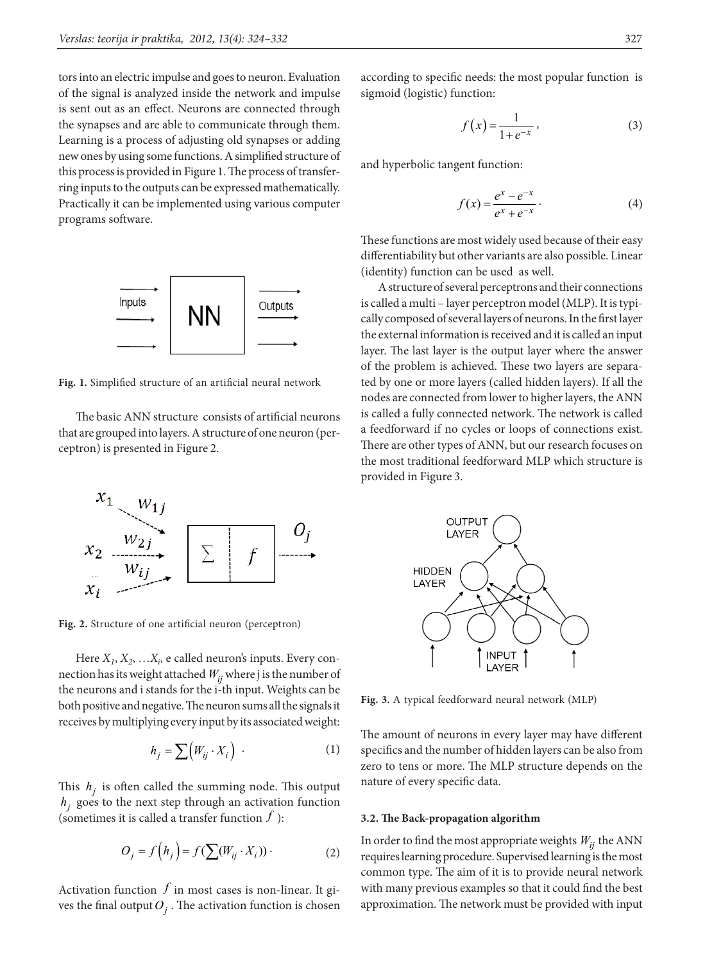tors into an electric impulse and goes to neuron. Evaluation of the signal is analyzed inside the network and impulse is sent out as an effect. Neurons are connected through the synapses and are able to communicate through them. Learning is a process of adjusting old synapses or adding new ones by using some functions. A simplified structure of this process is provided in Figure 1. The process of transferring inputs to the outputs can be expressed mathematically. Practically it can be implemented using various computer programs software.



**Fig. 1.** Simplified structure of an artificial neural network

The basic ANN structure consists of artificial neurons that are grouped into layers. A structure of one neuron (perceptron) is presented in Figure 2.



**Fig. 2.** Structure of one artificial neuron (perceptron)

Here *X1*, *X2*, …*Xi* , e called neuron's inputs. Every connection has its weight attached  $W_{ij}$  where j is the number of the neurons and i stands for the i-th input. Weights can be both positive and negative. The neuron sums all the signals it receives by multiplying every input by its associated weight:

$$
h_j = \sum \Big( W_{ij} \cdot X_i \Big) \tag{1}
$$

This  $h_i$  is often called the summing node. This output  $h_i$  goes to the next step through an activation function (sometimes it is called a transfer function  $f$ ):

$$
O_j = f(h_j) = f(\sum(W_{ij} \cdot X_i)) \tag{2}
$$

Activation function  $f$  in most cases is non-linear. It gives the final output  $O_i$ . The activation function is chosen according to specific needs: the most popular function is sigmoid (logistic) function:

$$
f\left(x\right) = \frac{1}{1 + e^{-x}},\tag{3}
$$

and hyperbolic tangent function:

$$
f(x) = \frac{e^x - e^{-x}}{e^x + e^{-x}}.
$$
 (4)

These functions are most widely used because of their easy differentiability but other variants are also possible. Linear (identity) function can be used as well.

A structure of several perceptrons and their connections is called a multi – layer perceptron model (MLP). It is typically composed of several layers of neurons. In the first layer the external information is received and it is called an input layer. The last layer is the output layer where the answer of the problem is achieved. These two layers are separated by one or more layers (called hidden layers). If all the nodes are connected from lower to higher layers, the ANN is called a fully connected network. The network is called a feedforward if no cycles or loops of connections exist. There are other types of ANN, but our research focuses on the most traditional feedforward MLP which structure is provided in Figure 3.



**Fig. 3.** A typical feedforward neural network (MLP)

The amount of neurons in every layer may have different specifics and the number of hidden layers can be also from zero to tens or more. The MLP structure depends on the nature of every specific data.

## **3.2. The Back-propagation algorithm**

In order to find the most appropriate weights  $W_{ii}$  the ANN requires learning procedure. Supervised learning is the most common type. The aim of it is to provide neural network with many previous examples so that it could find the best approximation. The network must be provided with input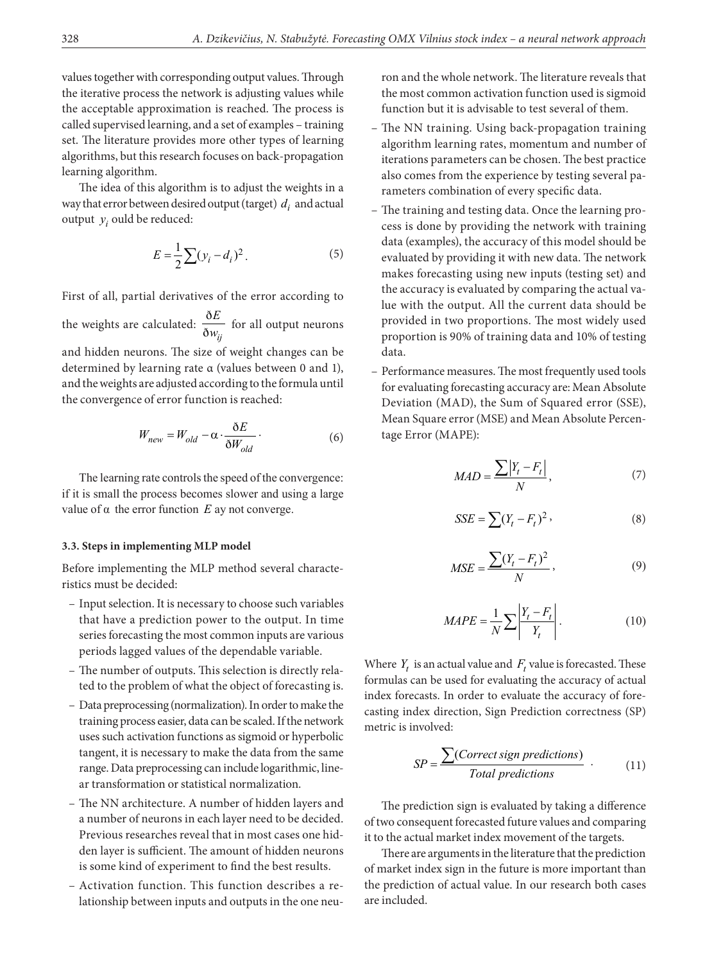values together with corresponding output values. Through the iterative process the network is adjusting values while the acceptable approximation is reached. The process is called supervised learning, and a set of examples – training set. The literature provides more other types of learning algorithms, but this research focuses on back-propagation learning algorithm.

The idea of this algorithm is to adjust the weights in a way that error between desired output (target)  $d_i$  and actual output  $y_i$  ould be reduced:

$$
E = \frac{1}{2} \sum (y_i - d_i)^2.
$$
 (5)

First of all, partial derivatives of the error according to

the weights are calculated:  $\frac{\delta}{\delta}$  $\eth w_{ij}$ *E*  $\frac{v}{w_{ii}}$  for all output neurons and hidden neurons. The size of weight changes can be determined by learning rate α (values between 0 and 1), and the weights are adjusted according to the formula until the convergence of error function is reached:

$$
W_{new} = W_{old} - \alpha \cdot \frac{\delta E}{\delta W_{old}}.
$$
 (6)

The learning rate controls the speed of the convergence: if it is small the process becomes slower and using a large value of  $\alpha$  the error function  $E$  ay not converge.

## **3.3. Steps in implementing MLP model**

Before implementing the MLP method several characteristics must be decided:

- Input selection. It is necessary to choose such variables that have a prediction power to the output. In time series forecasting the most common inputs are various periods lagged values of the dependable variable.
- The number of outputs. This selection is directly related to the problem of what the object of forecasting is.
- Data preprocessing (normalization). In order to make the training process easier, data can be scaled. If the network uses such activation functions as sigmoid or hyperbolic tangent, it is necessary to make the data from the same range. Data preprocessing can include logarithmic, linear transformation or statistical normalization.
- The NN architecture. A number of hidden layers and a number of neurons in each layer need to be decided. Previous researches reveal that in most cases one hidden layer is sufficient. The amount of hidden neurons is some kind of experiment to find the best results.
- Activation function. This function describes a relationship between inputs and outputs in the one neu-

ron and the whole network. The literature reveals that the most common activation function used is sigmoid function but it is advisable to test several of them.

- The NN training. Using back-propagation training algorithm learning rates, momentum and number of iterations parameters can be chosen. The best practice also comes from the experience by testing several parameters combination of every specific data.
- The training and testing data. Once the learning process is done by providing the network with training data (examples), the accuracy of this model should be evaluated by providing it with new data. The network makes forecasting using new inputs (testing set) and the accuracy is evaluated by comparing the actual value with the output. All the current data should be provided in two proportions. The most widely used proportion is 90% of training data and 10% of testing data.
- Performance measures. The most frequently used tools for evaluating forecasting accuracy are: Mean Absolute Deviation (MAD), the Sum of Squared error (SSE), Mean Square error (MSE) and Mean Absolute Percentage Error (MAPE):

$$
MAD = \frac{\sum |Y_t - F_t|}{N},\tag{7}
$$

$$
SSE = \sum (Y_t - F_t)^2, \qquad (8)
$$

$$
MSE = \frac{\sum (Y_t - F_t)^2}{N},\tag{9}
$$

$$
MAPE = \frac{1}{N} \sum \left| \frac{Y_t - F_t}{Y_t} \right|.
$$
 (10)

Where  $Y_t$  is an actual value and  $F_t$  value is forecasted. These formulas can be used for evaluating the accuracy of actual index forecasts. In order to evaluate the accuracy of forecasting index direction, Sign Prediction correctness (SP) metric is involved:

$$
SP = \frac{\sum (Correct \, sign \, predictions)}{Total \, predictions} \tag{11}
$$

The prediction sign is evaluated by taking a difference of two consequent forecasted future values and comparing it to the actual market index movement of the targets.

There are arguments in the literature that the prediction of market index sign in the future is more important than the prediction of actual value. In our research both cases are included.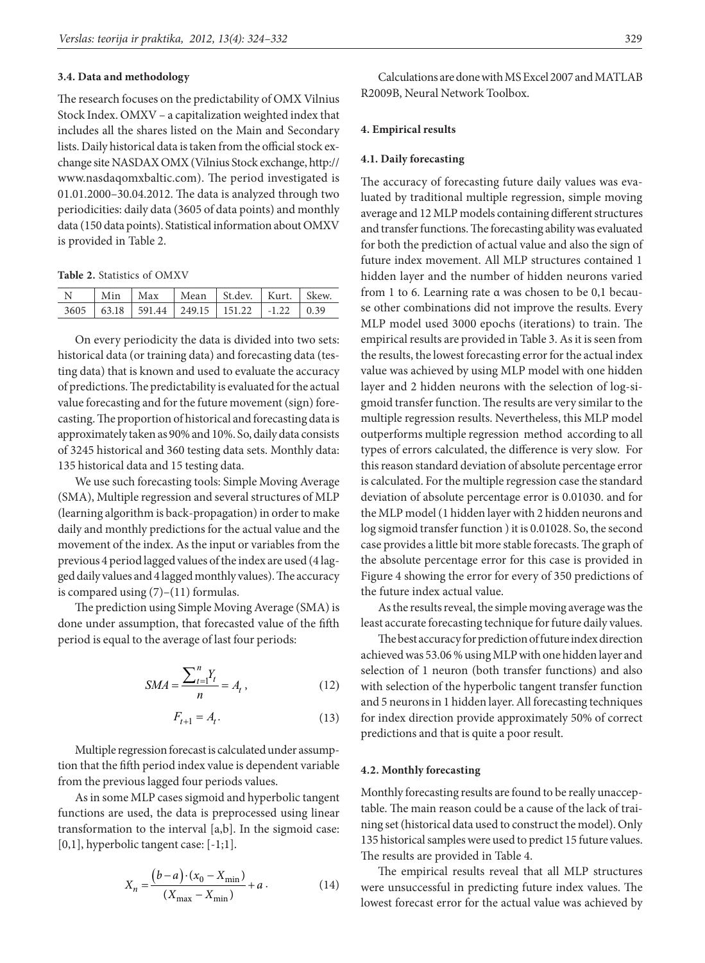#### **3.4. Data and methodology**

The research focuses on the predictability of OMX Vilnius Stock Index. OMXV – a capitalization weighted index that includes all the shares listed on the Main and Secondary lists. Daily historical data is taken from the official stock exchange site NASDAX OMX (Vilnius Stock exchange, [http://](http://www.nasdaqomxbaltic.com) [www.nasdaqomxbaltic.com\)](http://www.nasdaqomxbaltic.com). The period investigated is 01.01.2000–30.04.2012. The data is analyzed through two periodicities: daily data (3605 of data points) and monthly data (150 data points). Statistical information about OMXV is provided in Table 2.

**Table 2.** Statistics of OMXV

|  |  | Min   Max   Mean   St.dev.   Kurt.   Skew.               |  |
|--|--|----------------------------------------------------------|--|
|  |  | $3605$   63.18   591.44   249.15   151.22   -1.22   0.39 |  |

On every periodicity the data is divided into two sets: historical data (or training data) and forecasting data (testing data) that is known and used to evaluate the accuracy of predictions. The predictability is evaluated for the actual value forecasting and for the future movement (sign) forecasting. The proportion of historical and forecasting data is approximately taken as 90% and 10%. So, daily data consists of 3245 historical and 360 testing data sets. Monthly data: 135 historical data and 15 testing data.

We use such forecasting tools: Simple Moving Average (SMA), Multiple regression and several structures of MLP (learning algorithm is back-propagation) in order to make daily and monthly predictions for the actual value and the movement of the index. As the input or variables from the previous 4 period lagged values of the index are used (4 lagged daily values and 4 lagged monthly values). The accuracy is compared using (7)–(11) formulas.

The prediction using Simple Moving Average (SMA) is done under assumption, that forecasted value of the fifth period is equal to the average of last four periods:

$$
SMA = \frac{\sum_{t=1}^{n} Y_t}{n} = A_t,
$$
\n(12)

$$
F_{t+1} = A_t. \tag{13}
$$

Multiple regression forecast is calculated under assumption that the fifth period index value is dependent variable from the previous lagged four periods values.

As in some MLP cases sigmoid and hyperbolic tangent functions are used, the data is preprocessed using linear transformation to the interval [a,b]. In the sigmoid case: [0,1], hyperbolic tangent case: [-1;1].

$$
X_n = \frac{(b-a) \cdot (x_0 - X_{\min})}{(X_{\max} - X_{\min})} + a \,. \tag{14}
$$

Calculations are done with MS Excel 2007 and MATLAB R2009B, Neural Network Toolbox.

#### **4. Empirical results**

#### **4.1. Daily forecasting**

The accuracy of forecasting future daily values was evaluated by traditional multiple regression, simple moving average and 12 MLP models containing different structures and transfer functions. The forecasting ability was evaluated for both the prediction of actual value and also the sign of future index movement. All MLP structures contained 1 hidden layer and the number of hidden neurons varied from 1 to 6. Learning rate α was chosen to be 0,1 because other combinations did not improve the results. Every MLP model used 3000 epochs (iterations) to train. The empirical results are provided in Table 3. As it is seen from the results, the lowest forecasting error for the actual index value was achieved by using MLP model with one hidden layer and 2 hidden neurons with the selection of log-sigmoid transfer function. The results are very similar to the multiple regression results. Nevertheless, this MLP model outperforms multiple regression method according to all types of errors calculated, the difference is very slow. For this reason standard deviation of absolute percentage error is calculated. For the multiple regression case the standard deviation of absolute percentage error is 0.01030. and for the MLP model (1 hidden layer with 2 hidden neurons and log sigmoid transfer function ) it is 0.01028. So, the second case provides a little bit more stable forecasts. The graph of the absolute percentage error for this case is provided in Figure 4 showing the error for every of 350 predictions of the future index actual value.

As the results reveal, the simple moving average was the least accurate forecasting technique for future daily values.

The best accuracy for prediction of future index direction achieved was 53.06 % using MLP with one hidden layer and selection of 1 neuron (both transfer functions) and also with selection of the hyperbolic tangent transfer function and 5 neurons in 1 hidden layer. All forecasting techniques for index direction provide approximately 50% of correct predictions and that is quite a poor result.

#### **4.2. Monthly forecasting**

Monthly forecasting results are found to be really unacceptable. The main reason could be a cause of the lack of training set (historical data used to construct the model). Only 135 historical samples were used to predict 15 future values. The results are provided in Table 4.

The empirical results reveal that all MLP structures were unsuccessful in predicting future index values. The lowest forecast error for the actual value was achieved by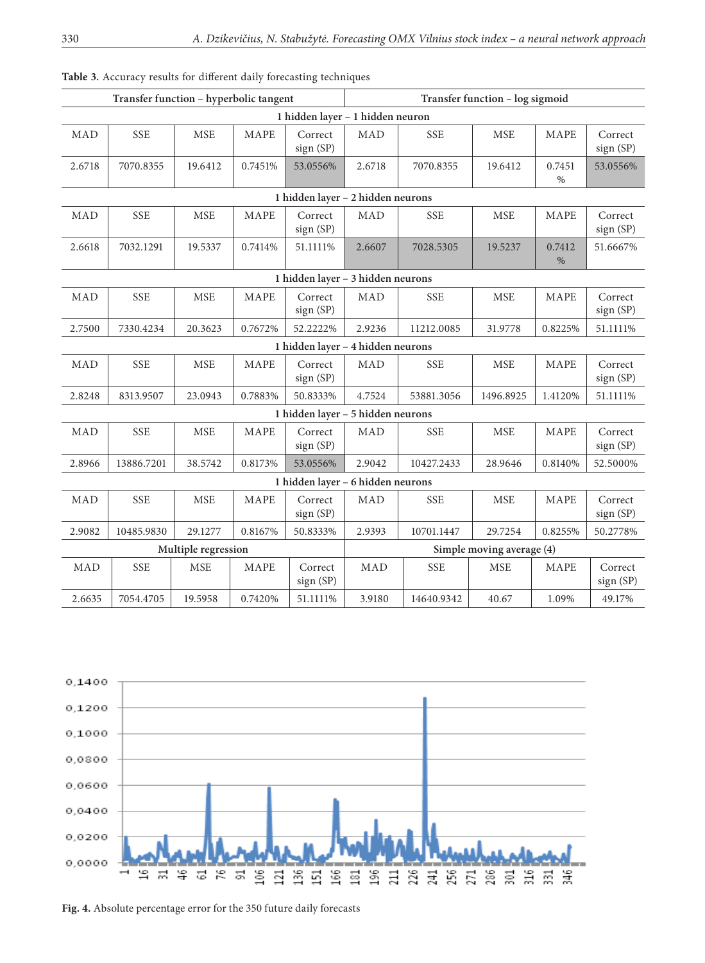|                                   | Transfer function - hyperbolic tangent |                      |             |                                   | Transfer function - log sigmoid |            |            |                |                      |  |
|-----------------------------------|----------------------------------------|----------------------|-------------|-----------------------------------|---------------------------------|------------|------------|----------------|----------------------|--|
| 1 hidden layer - 1 hidden neuron  |                                        |                      |             |                                   |                                 |            |            |                |                      |  |
| MAD                               | <b>SSE</b>                             | <b>MSE</b>           | MAPE        | Correct<br>sign (SP)              | <b>MAD</b>                      | <b>SSE</b> | <b>MSE</b> | MAPE           | Correct<br>sign (SP) |  |
| 2.6718                            | 7070.8355                              | 19.6412              | 0.7451%     | 53.0556%                          | 2.6718                          | 7070.8355  | 19.6412    | 0.7451<br>$\%$ | 53.0556%             |  |
| 1 hidden layer - 2 hidden neurons |                                        |                      |             |                                   |                                 |            |            |                |                      |  |
| MAD                               | <b>SSE</b>                             | <b>MSE</b>           | MAPE        | Correct<br>sign (SP)              | <b>MAD</b>                      | <b>SSE</b> | <b>MSE</b> | MAPE           | Correct<br>sign (SP) |  |
| 2.6618                            | 7032.1291                              | 19.5337              | 0.7414%     | 51.1111%                          | 2.6607                          | 7028.5305  | 19.5237    | 0.7412<br>$\%$ | 51.6667%             |  |
| 1 hidden layer - 3 hidden neurons |                                        |                      |             |                                   |                                 |            |            |                |                      |  |
| MAD                               | <b>SSE</b>                             | <b>MSE</b>           | MAPE        | Correct<br>sign (SP)              | MAD                             | <b>SSE</b> | <b>MSE</b> | MAPE           | Correct<br>sign (SP) |  |
| 2.7500                            | 7330.4234                              | 20.3623              | 0.7672%     | 52.2222%                          | 2.9236                          | 11212.0085 | 31.9778    | 0.8225%        | 51.1111%             |  |
|                                   |                                        |                      |             | 1 hidden layer - 4 hidden neurons |                                 |            |            |                |                      |  |
| MAD                               | <b>SSE</b>                             | $\operatorname{MSE}$ | MAPE        | Correct<br>sign (SP)              | MAD                             | <b>SSE</b> | <b>MSE</b> | MAPE           | Correct<br>sign (SP) |  |
| 2.8248                            | 8313.9507                              | 23.0943              | 0.7883%     | 50.8333%                          | 4.7524                          | 53881.3056 | 1496.8925  | 1.4120%        | 51.1111%             |  |
|                                   |                                        |                      |             | 1 hidden layer - 5 hidden neurons |                                 |            |            |                |                      |  |
| MAD                               | <b>SSE</b>                             | <b>MSE</b>           | <b>MAPE</b> | Correct<br>sign (SP)              | <b>MAD</b>                      | <b>SSE</b> | <b>MSE</b> | MAPE           | Correct<br>sign (SP) |  |
| 2.8966                            | 13886.7201                             | 38.5742              | 0.8173%     | 53.0556%                          | 2.9042                          | 10427.2433 | 28.9646    | 0.8140%        | 52.5000%             |  |
| 1 hidden layer - 6 hidden neurons |                                        |                      |             |                                   |                                 |            |            |                |                      |  |
| MAD                               | <b>SSE</b>                             | <b>MSE</b>           | MAPE        | Correct<br>sign (SP)              | MAD                             | <b>SSE</b> | <b>MSE</b> | MAPE           | Correct<br>sign (SP) |  |
| 2.9082                            | 10485.9830                             | 29.1277              | 0.8167%     | 50.8333%                          | 2.9393                          | 10701.1447 | 29.7254    | 0.8255%        | 50.2778%             |  |
|                                   |                                        | Multiple regression  |             |                                   | Simple moving average (4)       |            |            |                |                      |  |
| MAD                               | <b>SSE</b>                             | <b>MSE</b>           | MAPE        | Correct<br>sign (SP)              | <b>MAD</b>                      | <b>SSE</b> | <b>MSE</b> | MAPE           | Correct<br>sign (SP) |  |
| 2.6635                            | 7054.4705                              | 19.5958              | 0.7420%     | 51.1111%                          | 3.9180                          | 14640.9342 | 40.67      | 1.09%          | 49.17%               |  |

**Table 3.** Accuracy results for different daily forecasting techniques



**Fig. 4.** Absolute percentage error for the 350 future daily forecasts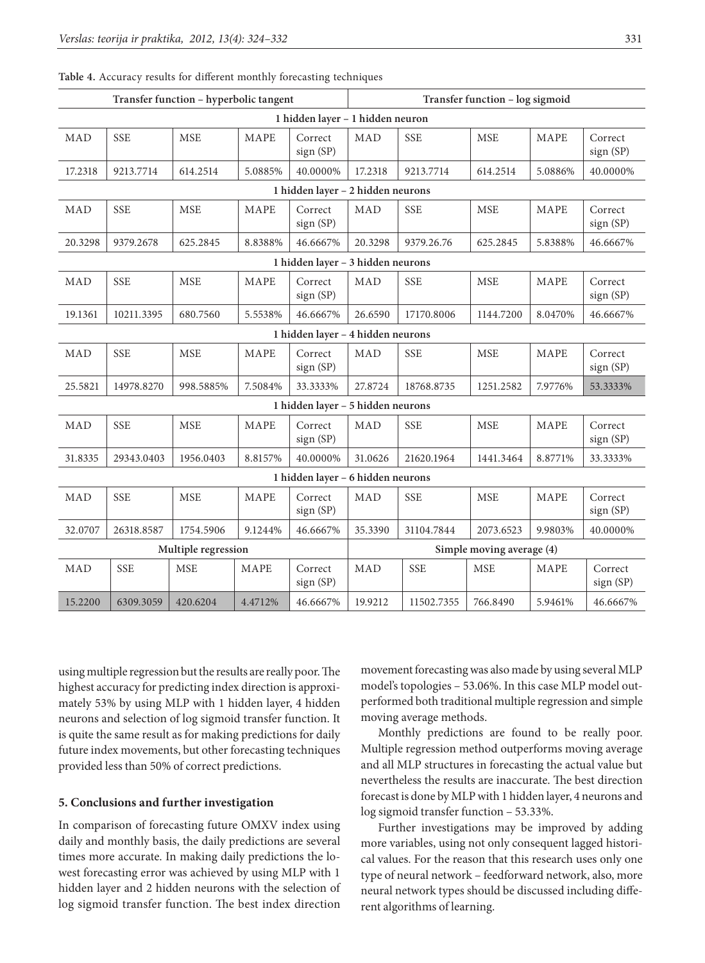| Transfer function - hyperbolic tangent |            |            |             |                                   |            | Transfer function - log sigmoid |            |             |                      |  |  |
|----------------------------------------|------------|------------|-------------|-----------------------------------|------------|---------------------------------|------------|-------------|----------------------|--|--|
| 1 hidden layer - 1 hidden neuron       |            |            |             |                                   |            |                                 |            |             |                      |  |  |
| MAD                                    | <b>SSE</b> | <b>MSE</b> | MAPE        | Correct<br>sign (SP)              | <b>MAD</b> | <b>SSE</b>                      | <b>MSE</b> | <b>MAPE</b> | Correct<br>sign (SP) |  |  |
| 17.2318                                | 9213.7714  | 614.2514   | 5.0885%     | 40.0000%                          | 17.2318    | 9213.7714                       | 614.2514   | 5.0886%     | 40.0000%             |  |  |
| 1 hidden layer - 2 hidden neurons      |            |            |             |                                   |            |                                 |            |             |                      |  |  |
| MAD                                    | <b>SSE</b> | <b>MSE</b> | MAPE        | Correct<br>sign (SP)              | <b>MAD</b> | <b>SSE</b>                      | <b>MSE</b> | MAPE        | Correct<br>sign (SP) |  |  |
| 20.3298                                | 9379.2678  | 625.2845   | 8.8388%     | 46.6667%                          | 20.3298    | 9379.26.76                      | 625.2845   | 5.8388%     | 46.6667%             |  |  |
| 1 hidden layer - 3 hidden neurons      |            |            |             |                                   |            |                                 |            |             |                      |  |  |
| MAD                                    | <b>SSE</b> | <b>MSE</b> | MAPE        | Correct<br>sign (SP)              | <b>MAD</b> | <b>SSE</b>                      | <b>MSE</b> | MAPE        | Correct<br>sign (SP) |  |  |
| 19.1361                                | 10211.3395 | 680.7560   | 5.5538%     | 46.6667%                          | 26.6590    | 17170.8006                      | 1144.7200  | 8.0470%     | 46.6667%             |  |  |
|                                        |            |            |             | 1 hidden layer - 4 hidden neurons |            |                                 |            |             |                      |  |  |
| MAD                                    | <b>SSE</b> | <b>MSE</b> | <b>MAPE</b> | Correct<br>sign (SP)              | <b>MAD</b> | <b>SSE</b>                      | <b>MSE</b> | <b>MAPE</b> | Correct<br>sign (SP) |  |  |
| 25.5821                                | 14978.8270 | 998.5885%  | 7.5084%     | 33.3333%                          | 27.8724    | 18768.8735                      | 1251.2582  | 7.9776%     | 53.3333%             |  |  |
|                                        |            |            |             | 1 hidden layer - 5 hidden neurons |            |                                 |            |             |                      |  |  |
| MAD                                    | <b>SSE</b> | <b>MSE</b> | MAPE        | Correct<br>sign (SP)              | <b>MAD</b> | <b>SSE</b>                      | <b>MSE</b> | MAPE        | Correct<br>sign (SP) |  |  |
| 31.8335                                | 29343.0403 | 1956.0403  | 8.8157%     | 40.0000%                          | 31.0626    | 21620.1964                      | 1441.3464  | 8.8771%     | 33.3333%             |  |  |
| 1 hidden layer - 6 hidden neurons      |            |            |             |                                   |            |                                 |            |             |                      |  |  |
| <b>MAD</b>                             | <b>SSE</b> | <b>MSE</b> | MAPE        | Correct<br>sign(SP)               | <b>MAD</b> | <b>SSE</b>                      | <b>MSE</b> | MAPE        | Correct<br>sign(SP)  |  |  |
| 32.0707                                | 26318.8587 | 1754.5906  | 9.1244%     | 46.6667%                          | 35.3390    | 31104.7844                      | 2073.6523  | 9.9803%     | 40.0000%             |  |  |
| Multiple regression                    |            |            |             |                                   |            | Simple moving average (4)       |            |             |                      |  |  |
| MAD                                    | <b>SSE</b> | <b>MSE</b> | MAPE        | Correct<br>sign (SP)              | <b>MAD</b> | <b>SSE</b>                      | <b>MSE</b> | MAPE        | Correct<br>sign(SP)  |  |  |
| 15.2200                                | 6309.3059  | 420.6204   | 4.4712%     | 46.6667%                          | 19.9212    | 11502.7355                      | 766.8490   | 5.9461%     | 46.6667%             |  |  |

**Table 4.** Accuracy results for different monthly forecasting techniques

using multiple regression but the results are really poor. The highest accuracy for predicting index direction is approximately 53% by using MLP with 1 hidden layer, 4 hidden neurons and selection of log sigmoid transfer function. It is quite the same result as for making predictions for daily future index movements, but other forecasting techniques provided less than 50% of correct predictions.

### **5. Conclusions and further investigation**

In comparison of forecasting future OMXV index using daily and monthly basis, the daily predictions are several times more accurate. In making daily predictions the lowest forecasting error was achieved by using MLP with 1 hidden layer and 2 hidden neurons with the selection of log sigmoid transfer function. The best index direction

movement forecasting was also made by using several MLP model's topologies – 53.06%. In this case MLP model outperformed both traditional multiple regression and simple moving average methods.

Monthly predictions are found to be really poor. Multiple regression method outperforms moving average and all MLP structures in forecasting the actual value but nevertheless the results are inaccurate. The best direction forecast is done by MLP with 1 hidden layer, 4 neurons and log sigmoid transfer function – 53.33%.

Further investigations may be improved by adding more variables, using not only consequent lagged historical values. For the reason that this research uses only one type of neural network – feedforward network, also, more neural network types should be discussed including different algorithms of learning.